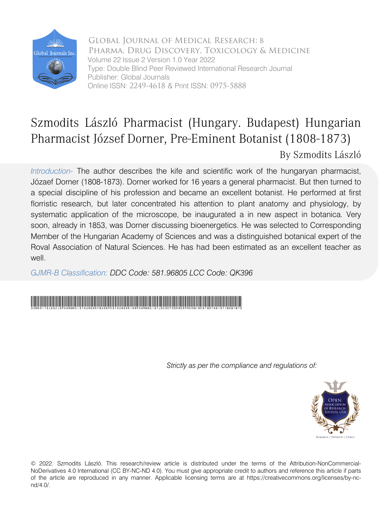

Global Journal of Medical Research: B Pharma, Drug Discovery, Toxicology & Medicine Volume 22 Issue 2 Version 1.0 Year 2022 Type: Double Blind Peer Reviewed International Research Journal Publisher: Global Journals Online ISSN: 2249-4618 & Print ISSN: 0975-5888

# Szmodits László Pharmacist (Hungary. Budapest) Hungarian Pharmacist József Dorner, Pre-Eminent Botanist (1808-1873) By Szmodits László

*Introduction-* The author describes the kife and scientific work of the hungaryan pharmacist, Józaef Dorner (1808-1873). Dorner worked for 16 years a general pharmacist. But then turned to a special discipline of his profession and became an excellent botanist. He performed at first florristic research, but later concentrated his attention to plant anatomy and physiology, by systematic application of the microscope, be inaugurated a in new aspect in botanica. Very soon, already in 1853, was Dorner discussing bioenergetics. He was selected to Corresponding Member of the Hungarian Academy of Sciences and was a distinguished botanical expert of the Roval Association of Natural Sciences. He has had been estimated as an excellent teacher as well

*GJMR-B Classification: DDC Code: 581.96805 LCC Code: QK396*

# SzmoditsLaszloPharmacistHungaryBudapestHungarianPharmacistJozsefDornerPreEminentBotanist18081873

*Strictly as per the compliance and regulations of:*



© 2022. Szmodits László. This research/review article is distributed under the terms of the Attribution-NonCommercial-NoDerivatives 4.0 International (CC BY-NC-ND 4.0). You must give appropriate credit to authors and reference this article if parts of the article are reproduced in any manner. Applicable licensing terms are at https://creativecommons.org/licenses/by-ncnd/4.0/.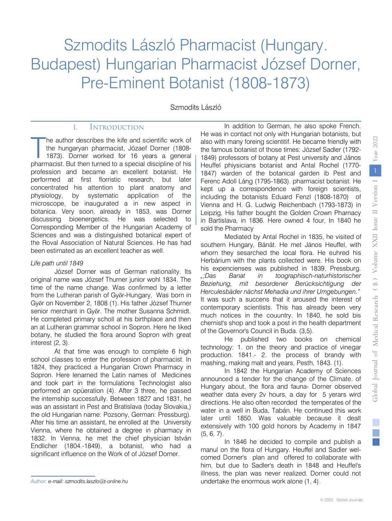# Szmodits László Pharmacist (Hungary. Budapest) Hungarian Pharmacist József Dorner, Pre-Eminent Botanist (1808-1873)

Szmodits László

### I. Introduction

he author describes the kife and scientific work of the hungaryan pharmacist, Józaef Dorner (1808- 1873). Dorner worked for 16 years a general The author describes the kife and scientific work of the hungaryan pharmacist, Józaef Dorner (1808-1873). Dorner worked for 16 years a general pharmacist. But then turned to a special discipline of his profession and became an excellent botanist. He performed at first florristic research, but later concentrated his attention to plant anatomy and physiology, by systematic application of the microscope, be inaugurated a in new aspect in botanica. Very soon, already in 1853, was Dorner discussing bioenergetics. He was selected to Corresponding Member of the Hungarian Academy of Sciences and was a distinguished botanical expert of the Roval Association of Natural Sciences. He has had been estimated as an excellent teacher as well.

#### *Life path until 1849*

József Dorner was of German nationality. Its original name was József Thurner junior wohl 1834. The time of the name change. Was confirmed by a letter from the Lutheran parish of Győr-Hungary, Was born in Győr on November 2, 1808 (1). His father József Thurner senior merchant in Győr. The mother Susanna Schmidt. He completed primary scholl at his birthplace and then an at Lutheran grammar school in Sopron. Here he liked botany, he studied the flora around Sopron with great interest (2, 3).

At that time was enough to complete 6 high school classes to enter the profession of pharmacist. In 1824, they practiced a Hungarian Crown Pharmacy in Sopron. Here lenarned the Latin names of Medicines and took part in the formulations Technologist also performed an opüeration (4). After 3 three, he passed the internship successfully. Between 1827 and 1831, he was an assistant in Pest and Bratislava (today Slovakia,) the old Hungarian name: Pozsony, German: Pressburg). After his time an assistant, he enrolled at the University Vienna, where he obtained a degree in pharmacy in 1832. In Vienna, he met the chief physician István Endlicher (1804.-1849), a botanist, who had a significant influence on the Work of of József Dorner.

In addition to German, he also spoke French. He was in contact not only with Hungarian botanists, but also with many foreing scientitif. He became friendly with the famous botanist of those times: József Sadler (1792- 1849) professors of botany at Pest university and János Heuffel phiysicians botanist and Antal Rochel (1770- 1847) warden of the botanical garden ib Pest and Ferenc Adoll Láng (1795-1863). pharmacist botanist. He kept up a correspondence with foreign scientists, including the botanists Eduard Fenzl (1808-1870) of Vienna and H. G. Ludwig Reichenbach (1793-1873) in Leipzig, His father bought the Golden Crown Pharnacy in Bartislava, in 1836. Here owned 4 four, In 1840 he sold the Pharmacy

Mediated by Antal Rochel in 1835, he visited of southern Hungary, Bánát. He met János Heuffel, with whorn they sesarched the local flora. He euhred his Herbárium with the plants collected were. His book on his expencienses was published in 1839, Pressburg. *";Das Banat in toographisch-naturhistorischer Beziehung, mit besordener Berücksichtigung der Herculesbäder nächst Mehadia und ihrer Umgebungen."* It was such a succens that it aroused the interest of contemporary scientists. This has already been very much notices in the couuntry. In 1840, he sold bis chemist's shop and took a post in the health department of the Governor's Council in Buda. (3,5).

He published two books on chemical technology: 1. on the theory and practice of vinegar production. 1841.- 2. the process of brandy with mashing, making malt and years, Pesth, 1843. (1).

In 1842 the Hungarian Academy of Sciences announced a tender for the change of the Climate. of Hungary about, the flora and fauna- Dorner observed weather data every 2v hours, a day for 5 yerars wird directions. He also often recorded the temperates of the water in a well in Buda, Tabán. He continued this work later until 1850. Was valuable because it dealt extensively with 100 gold honors by Academy in 1847 (5, 6, 7).

In 1846 he decided to compile and publish a manul on the flora of Hungary. Heuffel and Sadler welcomed Dorner's plan and offered to collaborate with him, but due to Sadler's death in 1848 and Heuffel's illness, the plan was never realized. Dorner could not undertake the enormous work alone (1, 4).

*Author: e-mail: szmodits.laszlo@t-online.hu*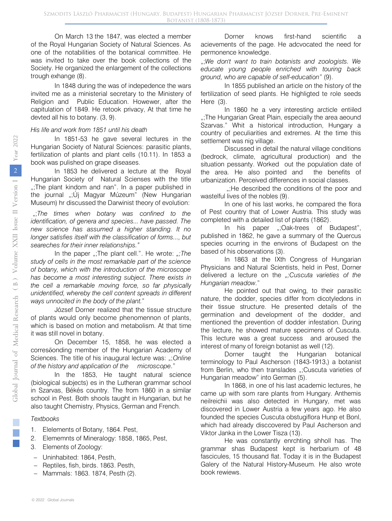On March 13 the 1847, was elected a member of the Royal Hungarian Society of Natural Sciences. As one of the notabilities of the botanical committee. He was invited to take over the book collections of the Society. He organized the enlargement of the collections trough exhange (8).

In 1848 during the was of indepedence the wars invited me as a ministerial secretary to the Ministery of Religion and Public Education. Howewer, after the capitulation of 1849. He retook privacy, At that time he devted all his to botany. (3, 9).

#### *His life and work from 1851 until his death*

In 1851-53 he gave several lectures in the Hungarian Society of Natural Sciences: parasitic plants, fertilization of plants and plant cells (10.11). In 1853 a book was pulished on grape diseases.

In 1853 he delivered a lecture at the Royal Hungarian Society of Natural Scienses with the title ";The plant kindom and nan". In a paper published in the journal ";Új Magyar Múzeum" (New Hungarian Museum) hr discussed the Darwinist theory of evolution:

";*The times when botany was confined to the identification, of genera and species... have passed. The new science has assumed a higher standing. It no longer satisfies itself with the classification of forms..., but seareches for their inner relationships."*

In the paper ";The plant cell.". He wrote: ";The *study of cells in the most remarkable part of the science of botany, which with the introduction of the microscope has become a most interesting subject. There exists in the cell a remarkable moving force, so far physically unidentified, whereby the cell content spreads in different ways unnocited in the body of the plant.*"

József Dorner realized that the tissue structure of plants would only become phenomennon of plants, which is based on motion and metabolism. At that time it was still novel in botany.

On December 15, 1858, he was elected a corresőonding member of the Hungarian Academy of Sciences. The title of his inaugural lecture was: ";*Online of the history and application of the microscope.*"

In the 1853, He taught natural science (biological subjects) es in the Lutheran grammar school in Szarvas, Békés country. The from 1860 in a similar school in Pest. Both shools taught in Hungarian, but he also taught Chemistry, Physics, German and French.

#### *Textbooks*

- 1. Elelements of Botany, 1864. Pest,
- 2. Elememnts of Mineralogy: 1858, 1865, Pest,
- 3. Elements of Zoology:
- − Uninhabited: 1864, Pesth,
- − Reptiles, fish, birds. 1863. Pesth,
- − Mammals: 1863. 1874, Pesth (2).

Dorner knows first-hand scientific acievements of the page. He adcvocated the need for permonence knowledge.

";We don't want to train botanists and zoologists. We *educate young people enriched with touring back ground, who are capable of self-education*" (9).

In 1855 published an article on the history of the fertilization of seed plants. He highligted te role seeds Here (3).

In 1860 he a very interesting arcticle entiiled ..;The Hungarian Great Plain, especially the area aeound Szarvas." Whit a historical introduction, Hungary a country of peculiarities and extremes. At the time this settlement was nig village.

Discussed in detail the natural village conditions (bedrock, climate, agricultural production) and the situation pessanty. Worked out the population date of the area. He also pointed and the benefits of urbanization. Perceived differences in social classes.

";He described the conditions of the poor and wastelful lives of the nobles (9).

In one of his last works, he compared the flora of Pest country that of Lower Austria. This study was completed with a detailed list of plants (1862).

In his paper ";Oak-trees of Budapest", published in 1862, he gave a summary of the Quercus species ocurring in the environs of Budapest on the based of his observations (3).

In 1863 at the IXth Congress of Hungarian Physicians and Natural Scientists, held in Pest, Dorner delivered a lecture on the *";Cuscuta varieties of the Hungarian meadow.*"

He pointed out that owing, to their parasitic nature, the dodder, species differ from dicotyledons in their tissue structure. He presented details of the germination and development of the dodder, and mentioned the prevention of dodder infestation. During the lecture, he showed mature specimens of Cuscuta. This lecture was a great success and aroused the interest of many of foreign botanist as well (12).

Dorner taught the Hungarian botanical terminology to Paul Ascherson (1843-1913,) a botanist from Berlin, who then translades ";Cuscuta varieties of Hungarian meadow" into German (5).

In 1868, in one of his last academic lectures, he came up with som rare plants from Hungary. Anthemis neilreichii was also detected in Hungary, met was discovered in Lower Austria a few years ago. He also founded the species Cuscuta obstugiflora Hunp et Bonl, which had already disccovered by Paul Ascherson and Viktor Janka in the Lower Tisza (13).

He was constantly enrchting shholl has. The grammar shas Budapest kept is herbarium of 48 fascicules, 15 thousand flat. Today it is in the Budapest Galery of the Natural History-Museum. He also wrote book rewiews.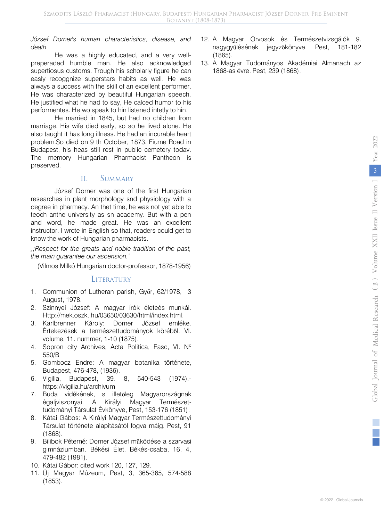#### *József Dorner's human characteristics, disease, and death*

He was a highly educated, and a very wellpreperaded humble man. He also acknowledged supertiosus customs. Trough hís scholarly figure he can easly recoggnize superstars habits as well. He was always a success with the skill of an excellent performer. He was characterized by beautiful Hungarian speech. He justified what he had to say, He calced humor to hís performentes. He wo speak to hin listened intetly to hin.

He married in 1845, but had no children from marriage. His wife died early, so so he lived alone. He also taught it has long illness. He had an incurable heart problem.So died on 9 th October, 1873. Fiume Road in Budapest, his heas still rest in public cemetery todav. The memory Hungarian Pharmacist Pantheon is preserved.

## II. SUMMARY

József Dorner was one of the first Hungarian researches in plant morphology snd physiology with a degree in pharmacy. An thet time, he was not yet able to teoch anthe university as sn academy. But with a pen and word, he made great. He was an excellent instructor. I wrote in English so that, readers could get to know the work of Hungarian pharmacists.

*";Respect for the greats and noble tradition of the past, the main guarantee our ascension."*

(Vilmos Milkó Hungarian doctor-professor, 1878-1956)

## LITERATURY

- 1. Communion of Lutheran parish, Győr, 62/1978, 3 August, 1978.
- 2. Szinnyei József: A magyar írók életeés munkái. Http://mek.oszk..hu/03650/03630/html/index.html.
- 3. Karlbrenner Károly: Dorner József emléke. Értekezések a természettudományok köréből. VI. volume, 11. nummer, 1-10 (1875).
- 4. Sopron city Archives, Acta Politica, Fasc, VI. Nº 550/B
- 5. Gombocz Endre: A magyar botanika története, Budapest, 476-478, (1936).
- 6. Vigilia, Budapest, 39. 8, 540-543 (1974). https://vigilia.hu/archivum
- 7. Buda vidékének, s illetőleg Magyarországnak égaljviszonyai. A Királyi Magyar Természettudományi Társulat Évkönyve, Pest, 153-176 (1851).
- 8. Kátai Gábos: A Királyi Magyar Természettudományi Társulat története alapításától fogva máig. Pest, 91 (1868).
- 9. Bilibok Péterné: Dorner József működése a szarvasi gimnáziumban. Békési Élet, Békés-csaba, 16, 4, 479-482 (1981).
- 10. Kátai Gábor: cited work 120, 127, 129.
- 11. Új Magyar Múzeum, Pest, 3, 365-365, 574-588 (1853).
- 12. A Magyar Orvosok és Természetvizsgálók 9. nagygyűlésének jegyzőkönyve. Pest, 181-182 (1865).
- 13. A Magyar Tudományos Akadémiai Almanach az 1868-as évre. Pest, 239 (1868).